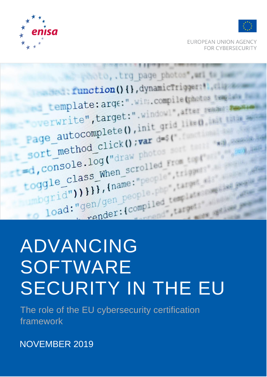NOVEMBER 2019

The role of the EU cybersecurity certification framework

## SOFTWARE SECURITY IN THE EU

# yen/gen people. ADVANCING







**FUROPEAN UNION AGENCY** FOR CYBERSECURITY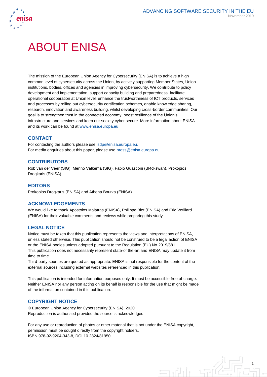



## ABOUT ENISA

The mission of the European Union Agency for Cybersecurity (ENISA) is to achieve a high common level of cybersecurity across the Union, by actively supporting Member States, Union institutions, bodies, offices and agencies in improving cybersecurity. We contribute to policy development and implementation, support capacity building and preparedness, facilitate operational cooperation at Union level, enhance the trustworthiness of ICT products, services and processes by rolling out cybersecurity certification schemes, enable knowledge sharing, research, innovation and awareness building, whilst developing cross-border communities. Our goal is to strengthen trust in the connected economy, boost resilience of the Union's infrastructure and services and keep our society cyber secure. More information about ENISA and its work can be found a[t www.enisa.europa.eu.](http://www.enisa.europa.eu/)

#### **CONTACT**

For contacting the authors please use [isdp@enisa.europa.eu.](mailto:isdp@enisa.europa.eu) For media enquiries about this paper, please use [press@enisa.europa.eu.](mailto:press@enisa.europa.eu)

#### **CONTRIBUTORS**

Rob van der Veer (SIG), Menno Valkema (SIG), Fabio Guasconi (Bl4ckswan), Prokopios Drogkaris (ENISA)

#### **EDITORS**

Prokopios Drogkaris (ENISA) and Athena Bourka (ENISA)

#### **ACKNOWLEDGEMENTS**

We would like to thank Apostolos Malatras (ENISA), Philippe Blot (ENISA) and Eric Vetillard (ENISA) for their valuable comments and reviews while preparing this study.

#### **LEGAL NOTICE**

Notice must be taken that this publication represents the views and interpretations of ENISA, unless stated otherwise. This publication should not be construed to be a legal action of ENISA or the ENISA bodies unless adopted pursuant to the Regulation (EU) No 2019/881. This publication does not necessarily represent state-of the-art and ENISA may update it from time to time.

Third-party sources are quoted as appropriate. ENISA is not responsible for the content of the external sources including external websites referenced in this publication.

This publication is intended for information purposes only. It must be accessible free of charge. Neither ENISA nor any person acting on its behalf is responsible for the use that might be made of the information contained in this publication.

#### **COPYRIGHT NOTICE**

© European Union Agency for Cybersecurity (ENISA), 2020 Reproduction is authorised provided the source is acknowledged.

For any use or reproduction of photos or other material that is not under the ENISA copyright, permission must be sought directly from the copyright holders. ISBN 978-92-9204-343-8, DOI 10.2824/81950

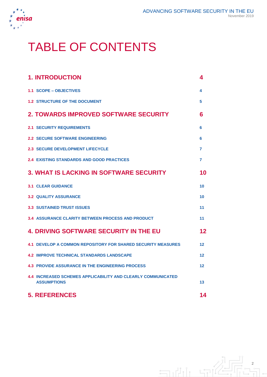

## TABLE OF CONTENTS

| <b>1. INTRODUCTION</b>                                                                    | 4       |
|-------------------------------------------------------------------------------------------|---------|
| 1.1 SCOPE - OBJECTIVES                                                                    | 4       |
| <b>1.2 STRUCTURE OF THE DOCUMENT</b>                                                      | 5       |
| <b>2. TOWARDS IMPROVED SOFTWARE SECURITY</b>                                              | 6       |
| <b>2.1 SECURITY REQUIREMENTS</b>                                                          | 6       |
| <b>2.2 SECURE SOFTWARE ENGINEERING</b>                                                    | 6       |
| <b>2.3 SECURE DEVELOPMENT LIFECYCLE</b>                                                   | 7       |
| <b>2.4 EXISTING STANDARDS AND GOOD PRACTICES</b>                                          | 7       |
| <b>3. WHAT IS LACKING IN SOFTWARE SECURITY</b>                                            | 10      |
| <b>3.1 CLEAR GUIDANCE</b>                                                                 | 10      |
| <b>3.2 QUALITY ASSURANCE</b>                                                              | 10      |
| <b>3.3 SUSTAINED TRUST ISSUES</b>                                                         | 11      |
| <b>3.4 ASSURANCE CLARITY BETWEEN PROCESS AND PRODUCT</b>                                  | 11      |
| <b>4. DRIVING SOFTWARE SECURITY IN THE EU</b>                                             | 12      |
| <b>4.1 DEVELOP A COMMON REPOSITORY FOR SHARED SECURITY MEASURES</b>                       | $12 \,$ |
| <b>4.2 IMPROVE TECHNICAL STANDARDS LANDSCAPE</b>                                          | 12      |
| <b>4.3 PROVIDE ASSURANCE IN THE ENGINEERING PROCESS</b>                                   | 12      |
| <b>4.4 INCREASED SCHEMES APPLICABILITY AND CLEARLY COMMUNICATED</b><br><b>ASSUMPTIONS</b> | 13      |
| <b>5. REFERENCES</b>                                                                      | 14      |

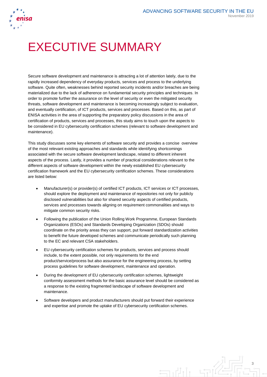

## EXECUTIVE SUMMARY

Secure software development and maintenance is attracting a lot of attention lately, due to the rapidly increased dependency of everyday products, services and process to the underlying software. Quite often, weaknesses behind reported security incidents and/or breaches are being materialized due to the lack of adherence on fundamental security principles and techniques. In order to promote further the assurance on the level of security or even the mitigated security threats, software development and maintenance is becoming increasingly subject to evaluation, and eventually certification, of ICT products, services and processes. Based on this, as part of ENISA activities in the area of supporting the preparatory policy discussions in the area of certification of products, services and processes, this study aims to touch upon the aspects to be considered in EU cybersecurity certification schemes (relevant to software development and maintenance).

This study discusses some key elements of software security and provides a concise overview of the most relevant existing approaches and standards while identifying shortcomings associated with the secure software development landscape, related to different inherent aspects of the process. Lastly, it provides a number of practical considerations relevant to the different aspects of software development within the newly established EU cybersecurity certification framework and the EU cybersecurity certification schemes. These considerations are listed below:

- Manufacturer(s) or provider(s) of certified ICT products, ICT services or ICT processes, should explore the deployment and maintenance of repositories not only for publicly disclosed vulnerabilities but also for shared security aspects of certified products, services and processes towards aligning on requirement commonalities and ways to mitigate common security risks.
- Following the publication of the Union Rolling Work Programme, European Standards Organizations (ESOs) and Standards Developing Organization (SDOs) should coordinate on the priority areas they can support, put forward standardization activities to benefit the future developed schemes and communicate periodically such planning to the EC and relevant CSA stakeholders.
- EU cybersecurity certification schemes for products, services and process should include, to the extent possible, not only requirements for the end product/service/process but also assurance for the engineering process, by setting process guidelines for software development, maintenance and operation.
- During the development of EU cybersecurity certification schemes, lightweight conformity assessment methods for the basic assurance level should be considered as a response to the existing fragmented landscape of software development and maintenance.
- Software developers and product manufacturers should put forward their experience and expertise and promote the uptake of EU cybersecurity certification schemes.

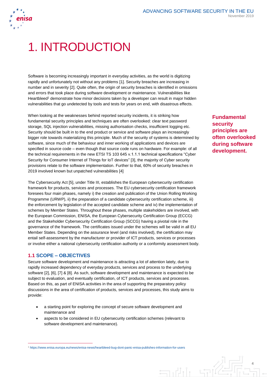

## 1. INTRODUCTION

Software is becoming increasingly important in everyday activities, as the world is digitizing rapidly and unfortunately not without any problems [1]. Security breaches are increasing in number and in severity [2]. Quite often, the origin of security breaches is identified in omissions and errors that took place during software development or maintenance. Vulnerabilities like Heartbleed<sup>1</sup> demonstrate how minor decisions taken by a developer can result in major hidden vulnerabilities that go undetected by tools and tests for years on end, with disastrous effects.

When looking at the weaknesses behind reported security incidents, it is striking how fundamental security principles and techniques are often overlooked: clear text password storage, SQL injection vulnerabilities, missing authorisation checks, insufficient logging etc. Security should be built in to the end product or service and software plays an increasingly bigger role towards materializing this principle. Much of the security of systems is determined by software, since much of the behaviour and inner working of applications and devices are specified in source code – even though that source code runs on hardware. For example: of all the technical requirements in the new ETSI TS 103 645 v.1.1.1 technical specifications "Cyber Security for Consumer Internet of Things for IoT devices" [3], the majority of Cyber security provisions relate to the software implementation. Further to that, 60% of security breaches in 2019 involved known but unpatched vulnerabilities [4]

The Cybersecurity Act [5], under Title III, establishes the European cybersecurity certification framework for products, services and processes. The EU cybersecurity certification framework foresees four main phases, namely i) the creation and publication of the Union Rolling Working Programme (URWP), ii) the preparation of a candidate cybersecurity certification scheme, iii) the enforcement by legislation of the accepted candidate scheme and iv) the implementation of schemes by Member States. Throughout these phases, multiple stakeholders are involved, with the European Commission, ENISA, the European Cybersecurity Certification Group (ECCG) and the Stakeholder Cybersecurity Certification Group (SCCG) having a pivotal role in the governance of the framework. The certificates issued under the schemes will be valid in all EU Member States. Depending on the assurance level (and risks involved), the certification may entail self-assessment by the manufacturer or provider of ICT products, services or processes or involve either a national cybersecurity certification authority or a conformity assessment body.

#### **1.1 SCOPE – OBJECTIVES**

 $\overline{a}$ 

Secure software development and maintenance is attracting a lot of attention lately, due to rapidly increased dependency of everyday products, services and process to the underlying software [2], [6], [7] & [8]. As such, software development and maintenance is expected to be subject to evaluation, and eventually certification, of ICT products, services and processes. Based on this, as part of ENISA activities in the area of supporting the preparatory policy discussions in the area of certification of products, services and processes, this study aims to provide:

- a starting point for exploring the concept of secure software development and maintenance and
- aspects to be considered in EU cybersecurity certification schemes (relevant to software development and maintenance).

<sup>1</sup> <https://www.enisa.europa.eu/news/enisa-news/heartbleed-bug-dont-panic-enisa-publishes-information-for-users>

 $\Box$ 

**Fundamental security principles are often overlooked during software development.**

4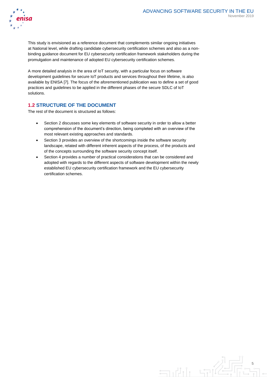

This study is envisioned as a reference document that complements similar ongoing initiatives at National level, while drafting candidate cybersecurity certification schemes and also as a nonbinding guidance document for EU cybersecurity certification framework stakeholders during the promulgation and maintenance of adopted EU cybersecurity certification schemes.

A more detailed analysis in the area of IoT security, with a particular focus on software development guidelines for secure IoT products and services throughout their lifetime, is also available by ENISA [7]. The focus of the aforementioned publication was to define a set of good practices and guidelines to be applied in the different phases of the secure SDLC of IoT solutions.

#### **1.2 STRUCTURE OF THE DOCUMENT**

The rest of the document is structured as follows:

- Section 2 discusses some key elements of software security in order to allow a better comprehension of the document's direction, being completed with an overview of the most relevant existing approaches and standards.
- Section 3 provides an overview of the shortcomings inside the software security landscape, related with different inherent aspects of the process, of the products and of the concepts surrounding the software security concept itself.
- Section 4 provides a number of practical considerations that can be considered and adopted with regards to the different aspects of software development within the newly established EU cybersecurity certification framework and the EU cybersecurity certification schemes.

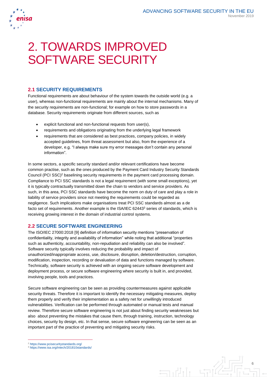

## 2. TOWARDS IMPROVED SOFTWARE SECURITY

#### **2.1 SECURITY REQUIREMENTS**

Functional requirements are about behaviour of the system towards the outside world (e.g. a user), whereas non-functional requirements are mainly about the internal mechanisms. Many of the security requirements are non-functional; for example on how to store passwords in a database. Security requirements originate from different sources, such as

- explicit functional and non-functional requests from user(s),
- requirements and obligations originating from the underlying legal framework
- requirements that are considered as best practices, company policies, in widely accepted guidelines, from threat assessment but also, from the experience of a developer, e.g. "I always make sure my error messages don't contain any personal information".

In some sectors, a specific security standard and/or relevant certifications have become common practise, such as the ones produced by the Payment Card Industry Security Standards Council (PCI SSC)<sup>2</sup> baselining security requirements in the payment card processing domain. Compliance to PCI SSC standards is not a legal requirement (with some small exceptions), yet it is typically contractually transmitted down the chain to vendors and service providers. As such, in this area, PCI SSC standards have become the norm on duty of care and play a role in liability of service providers since not meeting the requirements could be regarded as negligence. Such implications make organisations treat PCI SSC standards almost as a de facto set of requirements. Another example is the ISA/IEC 62443<sup>3</sup> series of standards, which is receiving growing interest in the domain of industrial control systems.

#### **2.2 SECURE SOFTWARE ENGINEERING**

The ISO/IEC 27000:2018 [9] definition of information security mentions "preservation of confidentiality, integrity and availability of information" while noting that additional "properties such as authenticity, accountability, non-repudiation and reliability can also be involved". Software security typically involves reducing the probability and impact of unauthorized/inappropriate access, use, disclosure, disruption, deletion/destruction, corruption, modification, inspection, recording or devaluation of data and functions managed by software. Technically, software security is achieved with an ongoing secure software development and deployment process, or secure software engineering where security is built in, and provided, involving people, tools and practices.

Secure software engineering can be seen as providing countermeasures against applicable security threats. Therefore it is important to identify the necessary mitigating measures, deploy them properly and verify their implementation as a safety net for unwillingly introduced vulnerabilities. Verification can be performed through automated or manual tests and manual review. Therefore secure software engineering is not just about finding security weaknesses but also about preventing the mistakes that cause them, through training, instruction, technology choices, security by design, etc. In that sense, secure software engineering can be seen as an important part of the practice of preventing and mitigating security risks.

<sup>2</sup> <https://www.pcisecuritystandards.org/>

 $\overline{a}$ 

<sup>3</sup> <https://www.isa.org/intech/201810standards/>

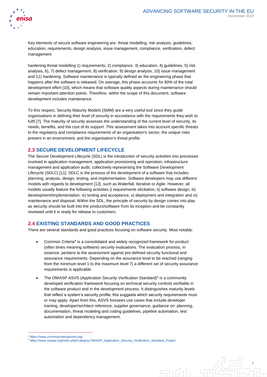



Key elements of secure software engineering are: threat modelling, risk analysis, guidelines, education, requirements, design analysis, issue management, compliance, verification, defect management

hardening threat modelling 1) requirements, 2) compliance, 3) education, 4) guidelines, 5) risk analysis, 6), 7) defect management, 8) verification, 9) design analysis, 10) issue management and 11) hardening. Software maintenance is typically defined as the engineering phase that happens after the software is released. On average, this phase accounts for 80% of the total development effort [10], which means that software quality aspects during maintenance should remain important attention points. Therefore, within the scope of this document, software development includes maintenance.

To this respect, Security Maturity Models (SMM) are a very useful tool since they guide organisations in defining their level of security in accordance with the requirements they wish to fulfil [7]. The maturity of security assesses the understanding of the current level of security, its needs, benefits, and the cost of its support. This assessment takes into account specific threats to the regulatory and compliance requirements of an organisation's sector, the unique risks present in an environment, and the organisation's threat profile.

#### **2.3 SECURE DEVELOPMENT LIFECYCLE**

The Secure Development Lifecycle (SDL) is the introduction of security activities into processes involved in application management, application provisioning and operation, infrastructure management and application audit, collectively representing the Software Development Lifecycle (SDLC) [11]. SDLC is the process of the development of a software that includes planning, analysis, design, testing, and implementation. Software developers may use different models with regards to development [\[12\]](#page-14-0), such as Waterfall, Iterative or Agile. However, all models usually feature the following activities i) requirements elicitation, ii) software design, iii) development/implementation, iv) testing and acceptance, v) deployment and integration and vi) maintenance and disposal. Within the SDL, the principle of security by design comes into play as security should be built into the product/software from its inception and be constantly reviewed until it is ready for release to customers.

#### <span id="page-7-0"></span>**2.4 EXISTING STANDARDS AND GOOD PRACTICES**

There are several standards and good practices focusing on software security. Most notably:

- Common Criteria<sup>4</sup> is a consolidated and widely recognized framework for product (often times meaning software) security evaluations. The evaluation process, in essence, pertains to the assessment against pre-defined security functional and assurance requirements. Depending on the assurance level to be reached (ranging from the minimum level 1 to the maximum level 7) a different set of security assurance requirements is applicable.
- The OWASP ASVS (Application Security Verification Standard)<sup>5</sup> is a community developed verification framework focusing on technical security controls verifiable in the software product and in the development process. It distinguishes maturity levels that reflect a system's security profile; this suggests which security requirements must or may apply. Apart from this, ASVS foresees use cases that include developer training, developer/architect reference, supplier governance, guidance on: planning, documentation, threat modeling and coding guidelines, pipeline automation, test automation and dependency management.

 $\overline{a}$ 

<sup>5</sup> [https://www.owasp.org/index.php/Category:OWASP\\_Application\\_Security\\_Verification\\_Standard\\_Project](https://www.owasp.org/index.php/Category:OWASP_Application_Security_Verification_Standard_Project)



<sup>4</sup> <https://www.commoncriteriaportal.org/>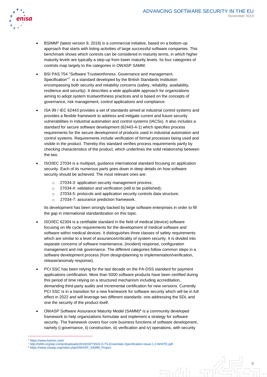

- BSIMM<sup>6</sup> (latest version 9, 2018) is a commercial initiative, based on a bottom-up approach that starts with listing activities of large successful software companies. This benchmark shows which controls can be considered in maturity terms, in which higher maturity levels are typically a step-up from lower maturity levels. Its four categories of controls map largely to the categories in OWASP SAMM.
- BSI PAS 754 "Software Trustworthiness. Governance and management. Specification"7 is a standard developed by the British Standards Institution encompassing both security and reliability concerns (safety, reliability, availability, resilience and security). It describes a wide applicable approach for organizations aiming to adopt system trustworthiness practices and is based on the concepts of governance, risk management, control applications and compliance.
- ISA 99 / IEC 62443 provides a set of standards aimed at industrial control systems and provides a flexible framework to address and mitigate current and future security vulnerabilities in industrial automation and control systems (IACSs). It also includes a standard for secure software development (62443-4-1) which specifies process requirements for the secure development of products used in industrial automation and control systems. Requirements include verification of formal processes being used and visible in the product. Thereby this standard verifies process requirements partly by checking characteristics of the product, which underlines the solid relationship between the two.
- ISO/IEC 27034 is a multipart, guidance international standard focusing on application security. Each of its numerous parts goes down in deep details on how software security should be achieved. The most relevant ones are:
	- o 27034-3: application security management process;
	- o 27034-4: validation and verification (still to be published);
	- o 27034-5: protocols and application security controls data structure;
	- o 27034-7: assurance prediction framework.

Its development has been strongly backed by large software enterprises in order to fill the gap in international standardization on this topic.

- ISO/IEC 62304 is a certifiable standard in the field of medical (device) software focusing on life cycle requirements for the development of medical software and software within medical devices. It distinguishes three classes of safety requirements which are similar to a level of assurance/criticality of system security. It is divided into separate concerns of software maintenance, (incident) response, configuration management and risk governance. The different categories follow common steps in a software development process (from design/planning to implementation/verification, release/anomaly response).
- PCI SSC has been relying for the last decade on the PA-DSS standard for payment applications certification. More than 5000 software products have been certified during this period of time relying on a structured mechanism including accreditation, demanding third-party audits and incremental certification for new versions. Currently PCI SSC is in a transition for a new framework for software security which will be in full effect in 2022 and will leverage two different standards: one addressing the SDL and one the security of the product itself.
- OWASP Software Assurance Maturity Model  $(SAMM)^8$  is a community developed framework to help organizations formulate and implement a strategy for software security. The framework covers four core business functions of software development, namely i) governance, ii) construction, iii) verification and iv) operations, with security

 $\Box$ 

 $\overline{a}$ 

<sup>6</sup> <https://www.bsimm.com/>

<sup>7</sup> <http://tsfdn.org/wp-content/uploads/2016/03/TS502-0-TS-Essentials-Specification-Issue-1.2-WHITE.pdf>

<sup>8</sup> [https://www.owasp.org/index.php/OWASP\\_SAMM\\_Project](https://www.owasp.org/index.php/OWASP_SAMM_Project)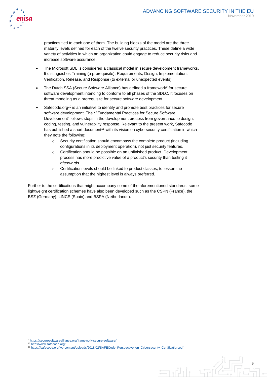

practices tied to each one of them. The building blocks of the model are the three maturity levels defined for each of the twelve security practices. These define a wide variety of activities in which an organization could engage to reduce security risks and increase software assurance.

- The Microsoft SDL is considered a classical model in secure development frameworks. It distinguishes Training (a prerequisite), Requirements, Design, Implementation, Verification, Release, and Response (to external or unexpected events).
- The Dutch SSA (Secure Software Alliance) has defined a framework<sup>9</sup> for secure software development intending to conform to all phases of the SDLC. It focuses on threat modeling as a prerequisite for secure software development.
- Safecode.org<sup>10</sup> is an initiative to identify and promote best practices for secure software development. Their "Fundamental Practices for Secure Software Development" follows steps in the development process from governance to design, coding, testing, and vulnerability response. Relevant to the present work, Safecode has published a short document<sup>11</sup> with its vision on cybersecurity certification in which they note the following:
	- o Security certification should encompass the complete product (including configurations in its deployment operation), not just security features.
	- o Certification should be possible on an unfinished product. Development process has more predictive value of a product's security than testing it afterwards.
	- o Certification levels should be linked to product classes, to lessen the assumption that the highest level is always preferred.

Further to the certifications that might accompany some of the aforementioned standards, some lightweight certification schemes have also been developed such as the CSPN (France), the BSZ (Germany), LINCE (Spain) and BSPA (Netherlands).

 $\overline{a}$ 

<sup>9</sup> <https://securesoftwarealliance.org/framework-secure-software/>

<sup>10</sup> <http://www.safecode.org/>

<sup>11</sup> [https://safecode.org/wp-content/uploads/2018/02/SAFECode\\_Perspective\\_on\\_Cybersecurity\\_Certification.pdf](https://safecode.org/wp-content/uploads/2018/02/SAFECode_Perspective_on_Cybersecurity_Certification.pdf)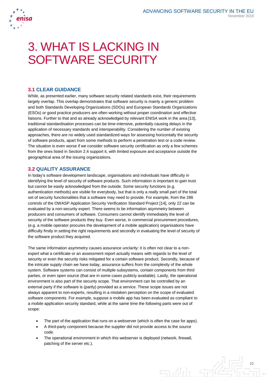

## 3. WHAT IS LACKING IN SOFTWARE SECURITY

#### **3.1 CLEAR GUIDANCE**

While, as presented earlier, many software security related standards exist, their requirements largely overlap. This overlap demonstrates that software security is mainly a generic problem and both Standards Developing Organizations (SDOs) and European Standards Organizations (ESOs) or good practice producers are often working without proper coordination and effective liaisons. Further to that and as already acknowledged by relevant ENISA work in the area [13], traditional standardisation processes can be time-intensive, potentially causing delays in the application of necessary standards and interoperability. Considering the number of existing approaches, there are no widely used standardized ways for assessing horizontally the security of software products, apart from some methods to perform a penetration test or a code review. The situation is even worse if we consider software security certification as only a few schemes from the ones listed in Section [2.4](#page-7-0) support it, with limited exposure and acceptance outside the geographical area of the issuing organizations.

#### **3.2 QUALITY ASSURANCE**

In today's software development landscape, organisations and individuals have difficulty in identifying the level of security of software products. Such information is important to gain trust but cannot be easily acknowledged from the outside. Some security functions (e.g. authentication methods) are visible for everybody, but that is only a really small part of the total set of security functionalities that a software may need to provide. For example, from the 286 controls of the OWASP Application Security Verification Standard Project [14], only 22 can be evaluated by a non-security expert. There seems to be information asymmetry between producers and consumers of software. Consumers cannot identify immediately the level of security of the software products they buy. Even worse, in commercial procurement procedures, (e.g. a mobile operator procures the development of a mobile application) organisations have difficulty firstly in setting the right requirements and secondly in evaluating the level of security of the software product they acquired.

The same information asymmetry causes assurance unclarity: it is often not clear to a nonexpert what a certificate or an assessment report actually means with regards to the level of security or even the security risks mitigated for a certain software product. Secondly, because of the intricate supply chain we have today, assurance suffers from the complexity of the whole system. Software systems can consist of multiple subsystems, contain components from third parties, or even open source (that are in some cases publicly available). Lastly, the operational environment is also part of the security scope. That environment can be controlled by an external party if the software is (partly) provided as a service. These scope issues are not always apparent to non-experts, resulting in a mistaken perception on the scope of evaluated software components. For example, suppose a mobile app has been evaluated as compliant to a mobile application security standard, while at the same time the following parts were out of scope:

- The part of the application that runs on a webserver (which is often the case for apps).
- A third-party component because the supplier did not provide access to the source code.
- The operational environment in which this webserver is deployed (network, firewall, patching of the server etc.).

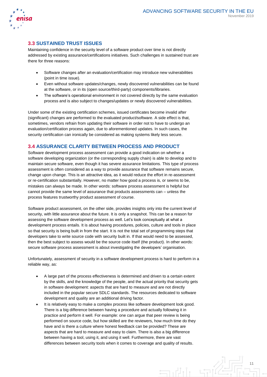

#### **3.3 SUSTAINED TRUST ISSUES**

Maintaining confidence in the security level of a software product over time is not directly addressed by existing assurance/certifications initiatives. Such challenges in sustained trust are there for three reasons:

- Software changes after an evaluation/certification may introduce new vulnerabilities (point in time issue).
- Even without software updates/changes, newly discovered vulnerabilities can be found at the software, or in its (open source/third-party) components/libraries.
- The software's operational environment in not covered directly by the same evaluation process and is also subject to changes/updates or newly discovered vulnerabilities.

Under some of the existing certification schemes, issued certificates become invalid after (significant) changes are performed to the evaluated product/software. A side effect is that, sometimes, vendors refrain from updating their software in order not to have to undergo an evaluation/certification process again, due to aforementioned updates. In such cases, the security certification can ironically be considered as making systems likely less secure.

#### **3.4 ASSURANCE CLARITY BETWEEN PROCESS AND PRODUCT**

Software development process assessment can provide a good indication on whether a software developing organization (or the corresponding supply chain) is able to develop and to maintain secure software, even though it has severe assurance limitations. This type of process assessment is often considered as a way to provide assurance that software remains secure, change upon change. This is an attractive idea, as it would reduce the effort in re-assessment or re-certification substantially. However, no matter how good a process is, or seems to be, mistakes can always be made. In other words: software process assessment is helpful but cannot provide the same level of assurance that products assessments can – unless the process features trustworthy product assessment of course.

Software product assessment, on the other side, provides insights only into the current level of security, with little assurance about the future. It is only a snapshot. This can be a reason for assessing the software development process as well. Let's look conceptually at what a development process entails. It is about having procedures, policies, culture and tools in place so that security is being built in from the start. It is not the total set of programming steps that developers take to write source code with security built in. If that would need to be assessed, then the best subject to assess would be the source code itself (the product). In other words: secure software process assessment is about investigating the developers' organisation.

Unfortunately, assessment of security in a software development process is hard to perform in a reliable way, as:

- A large part of the process effectiveness is determined and driven to a certain extent by the skills, and the knowledge of the people, and the actual priority that security gets in software development: aspects that are hard to measure and are not directly included in the popular secure SDLC standards. The resources dedicated to software development and quality are an additional driving factor.
- It is relatively easy to make a complex process like software development look good. There is a big difference between having a procedure and actually following it in practice and perform it well. For example: one can argue that peer review is being performed on source code, but how skilled are the reviewers, how much time do they have and is there a culture where honest feedback can be provided? These are aspects that are hard to measure and easy to claim. There is also a big difference between having a tool, using it, and using it well. Furthermore, there are vast differences between security tools when it comes to coverage and quality of results.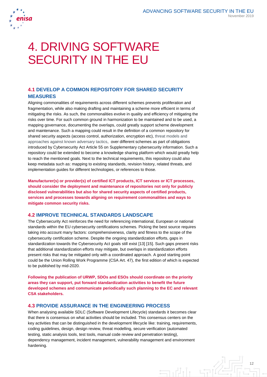

## 4. DRIVING SOFTWARE SECURITY IN THE EU

#### **4.1 DEVELOP A COMMON REPOSITORY FOR SHARED SECURITY MEASURES**

Aligning commonalities of requirements across different schemes prevents proliferation and fragmentation, while also making drafting and maintaining a scheme more efficient in terms of mitigating the risks. As such, the commonalities evolve in quality and efficiency of mitigating the risks over time. For such common ground in harmonization to be maintained and to be used, a mapping governance, documenting the overlaps, could greatly support scheme development and maintenance. Such a mapping could result in the definition of a common repository for shared security aspects (access control, authorization, encryption etc), threat models and approaches against known adversary tactics, over different schemes as part of obligations introduced by Cybersecurity Act Article 55 on Supplementary cybersecurity information. Such a repository could be extended to become a knowledge sharing platform which would greatly help to reach the mentioned goals. Next to the technical requirements, this repository could also keep metadata such as: mapping to existing standards, revision history, related threats, and implementation guides for different technologies, or references to those.

**Manufacturer(s) or provider(s) of certified ICT products, ICT services or ICT processes, should consider the deployment and maintenance of repositories not only for publicly disclosed vulnerabilities but also for shared security aspects of certified products, services and processes towards aligning on requirement commonalities and ways to mitigate common security risks.** 

#### **4.2 IMPROVE TECHNICAL STANDARDS LANDSCAPE**

The Cybersecurity Act reinforces the need for referencing international, European or national standards within the EU cybersecurity certifications schemes. Picking the best source requires taking into account many factors: comprehensiveness, clarity and fitness to the scope of the cybersecurity certification scheme. Despite the ongoing standardization efforts, gaps in standardization towards the Cybersecurity Act goals still exist [13] [15]. Such gaps present risks that additional standardization efforts may mitigate, but overlaps in standardization efforts present risks that may be mitigated only with a coordinated approach. A good starting point could be the Union Rolling Work Programme (CSA Art. 47), the first edition of which is expected to be published by mid-2020.

**Following the publication of URWP, SDOs and ESOs should coordinate on the priority areas they can support, put forward standardization activities to benefit the future developed schemes and communicate periodically such planning to the EC and relevant CSA stakeholders.** 

#### **4.3 PROVIDE ASSURANCE IN THE ENGINEERING PROCESS**

When analysing available SDLC (Software Development Lifecycle) standards it becomes clear that there is consensus on what activities should be included. This consensus centers on the key activities that can be distinguished in the development lifecycle like: training, requirements, coding guidelines, design, design review, threat modelling, secure verification (automated testing, static analysis tools, test tools, manual code review and penetration testing), dependency management, incident management, vulnerability management and environment hardening.

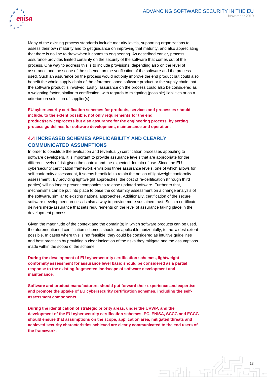

Many of the existing process standards include maturity levels, supporting organizations to assess their own maturity and to get guidance on improving that maturity, and also appreciating that there is no line to draw when it comes to engineering. As described earlier, process assurance provides limited certainty on the security of the software that comes out of the process. One way to address this is to include provisions, depending also on the level of assurance and the scope of the scheme, on the verification of the software and the process used. Such an assurance on the process would not only improve the end product but could also benefit the whole supply chain of the aforementioned software product or the supply chain that the software product is involved. Lastly, assurance on the process could also be considered as a weighting factor, similar to certification, with regards to mitigating (possible) liabilities or as a criterion on selection of supplier(s).

**EU cybersecurity certification schemes for products, services and processes should include, to the extent possible, not only requirements for the end product/service/process but also assurance for the engineering process, by setting process guidelines for software development, maintenance and operation.**

#### **4.4 INCREASED SCHEMES APPLICABILITY AND CLEARLY COMMUNICATED ASSUMPTIONS**

In order to constitute the evaluation and (eventually) certification processes appealing to software developers, it is important to provide assurance levels that are appropriate for the different levels of risk given the context and the expected domain of use. Since the EU cybersecurity certification framework envisions three assurance levels, one of which allows for self-conformity assessment, it seems beneficial to retain the notion of lightweight conformity assessment.. By providing lightweight approaches, the cost of re-certification (through third parties) will no longer prevent companies to release updated software. Further to that, mechanisms can be put into place to base the conformity assessment on a change analysis of the software, similar to existing national approaches. Additionally, certification of the secure software development process is also a way to provide more sustained trust. Such a certificate delivers meta-assurance that sets requirements on the level of assurance taking place in the development process.

Given the magnitude of the context and the domain(s) in which software products can be used, the aforementioned certification schemes should be applicable horizontally, to the widest extent possible. In cases where this is not feasible, they could be considered as intuitive guidelines and best practices by providing a clear indication of the risks they mitigate and the assumptions made within the scope of the scheme.

**During the development of EU cybersecurity certification schemes, lightweight conformity assessment for assurance level basic should be considered as a partial response to the existing fragmented landscape of software development and maintenance.** 

**Software and product manufacturers should put forward their experience and expertise and promote the uptake of EU cybersecurity certification schemes, including the selfassessment components.** 

**During the identification of strategic priority areas, under the URWP, and the development of the EU cybersecurity certification schemes, EC, ENISA, SCCG and ECCG should ensure that assumptions on the scope, application area, mitigated threats and achieved security characteristics achieved are clearly communicated to the end users of the framework.**

> 13  $\Box$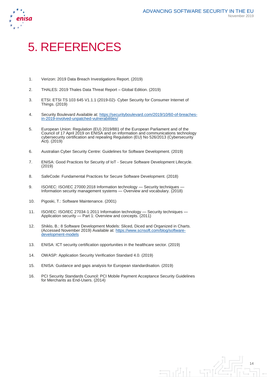$\n **1**$ 



### 5. REFERENCES

- 1. Verizon: 2019 Data Breach Investigations Report. (2019)
- 2. THALES: 2019 Thales Data Threat Report Global Edition. (2019)
- 3. ETSI: ETSI TS 103 645 V1.1.1 (2019-02)- Cyber Security for Consumer Internet of Things. (2019)
- 4. Security Boulevard Available at: [https://securityboulevard.com/2019/10/60-of-breaches](https://securityboulevard.com/2019/10/60-of-breaches-in-2019-involved-unpatched-vulnerabilities/)[in-2019-involved-unpatched-vulnerabilities/](https://securityboulevard.com/2019/10/60-of-breaches-in-2019-involved-unpatched-vulnerabilities/)
- 5. European Union: Regulation (EU) 2019/881 of the European Parliament and of the Council of 17 April 2019 on ENISA and on information and communications technology cybersecurity certification and repealing Regulation (EU) No 526/2013 (Cybersecurity Act). (2019)
- 6. Australian Cyber Security Centre: Guidelines for Software Development. (2019)
- 7. ENISA: Good Practices for Security of IoT Secure Software Development Lifecycle. (2019)
- 8. SafeCode: Fundamental Practices for Secure Software Development. (2018)
- 9. ISO/IEC: ISO/IEC 27000:2018 Information technology Security techniques -Information security management systems — Overview and vocabulary. (2018)
- 10. Pigoski, T.: Software Maintenance. (2001)
- 11. ISO/IEC: ISO/IEC 27034-1:2011 Information technology Security techniques Application security — Part 1: Overview and concepts. (2011)
- <span id="page-14-0"></span>12. Shiklo, B.: 8 Software Development Models: Sliced, Diced and Organized in Charts. (Accessed November 2019) Available at: [https://www.scnsoft.com/blog/software](https://www.scnsoft.com/blog/software-development-models)[development-models](https://www.scnsoft.com/blog/software-development-models)
- 13. ENISA: ICT security certification opportunities in the healthcare sector. (2019)
- 14. OWASP: Application Security Verification Standard 4.0. (2019)
- 15. ENISA: Guidance and gaps analysis for European standardisation. (2019)
- 16. PCI Security Standards Council: PCI Mobile Payment Acceptance Security Guidelines for Merchants as End-Users. (2014)